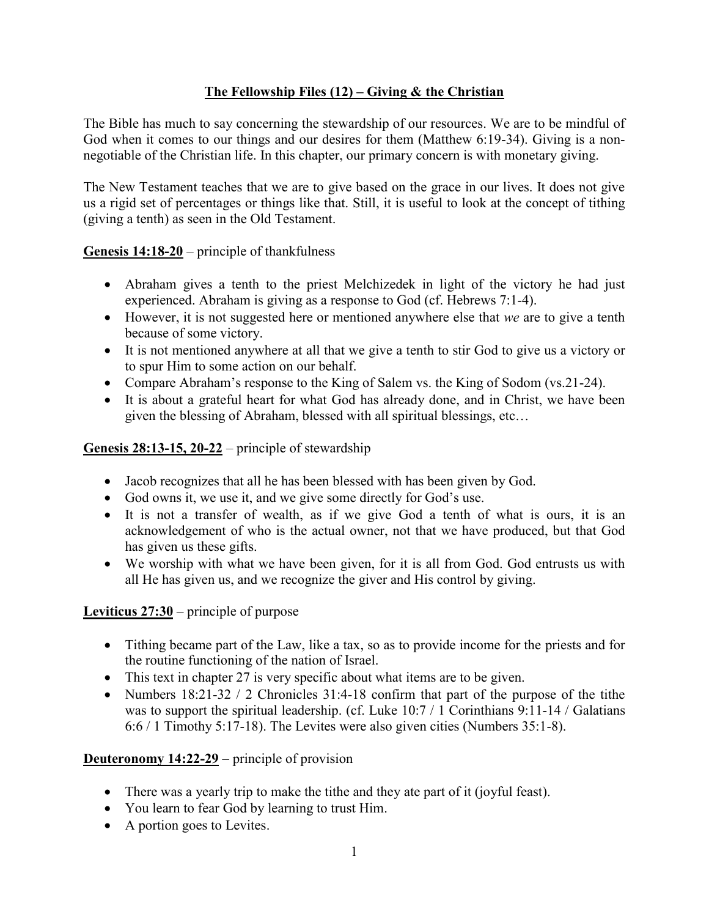# **The Fellowship Files (12) – Giving & the Christian**

The Bible has much to say concerning the stewardship of our resources. We are to be mindful of God when it comes to our things and our desires for them (Matthew 6:19-34). Giving is a nonnegotiable of the Christian life. In this chapter, our primary concern is with monetary giving.

The New Testament teaches that we are to give based on the grace in our lives. It does not give us a rigid set of percentages or things like that. Still, it is useful to look at the concept of tithing (giving a tenth) as seen in the Old Testament.

**Genesis 14:18-20** – principle of thankfulness

- Abraham gives a tenth to the priest Melchizedek in light of the victory he had just experienced. Abraham is giving as a response to God (cf. Hebrews 7:1-4).
- However, it is not suggested here or mentioned anywhere else that *we* are to give a tenth because of some victory.
- It is not mentioned anywhere at all that we give a tenth to stir God to give us a victory or to spur Him to some action on our behalf.
- Compare Abraham's response to the King of Salem vs. the King of Sodom (vs. 21-24).
- It is about a grateful heart for what God has already done, and in Christ, we have been given the blessing of Abraham, blessed with all spiritual blessings, etc…

## **Genesis 28:13-15, 20-22** – principle of stewardship

- Jacob recognizes that all he has been blessed with has been given by God.
- God owns it, we use it, and we give some directly for God's use.
- It is not a transfer of wealth, as if we give God a tenth of what is ours, it is an acknowledgement of who is the actual owner, not that we have produced, but that God has given us these gifts.
- We worship with what we have been given, for it is all from God. God entrusts us with all He has given us, and we recognize the giver and His control by giving.

## **Leviticus 27:30** – principle of purpose

- Tithing became part of the Law, like a tax, so as to provide income for the priests and for the routine functioning of the nation of Israel.
- This text in chapter 27 is very specific about what items are to be given.
- Numbers  $18:21-32 / 2$  Chronicles  $31:4-18$  confirm that part of the purpose of the tithe was to support the spiritual leadership. (cf. Luke 10:7 / 1 Corinthians 9:11-14 / Galatians 6:6 / 1 Timothy 5:17-18). The Levites were also given cities (Numbers 35:1-8).

## **Deuteronomy 14:22-29** – principle of provision

- There was a yearly trip to make the tithe and they ate part of it (joyful feast).
- You learn to fear God by learning to trust Him.
- A portion goes to Levites.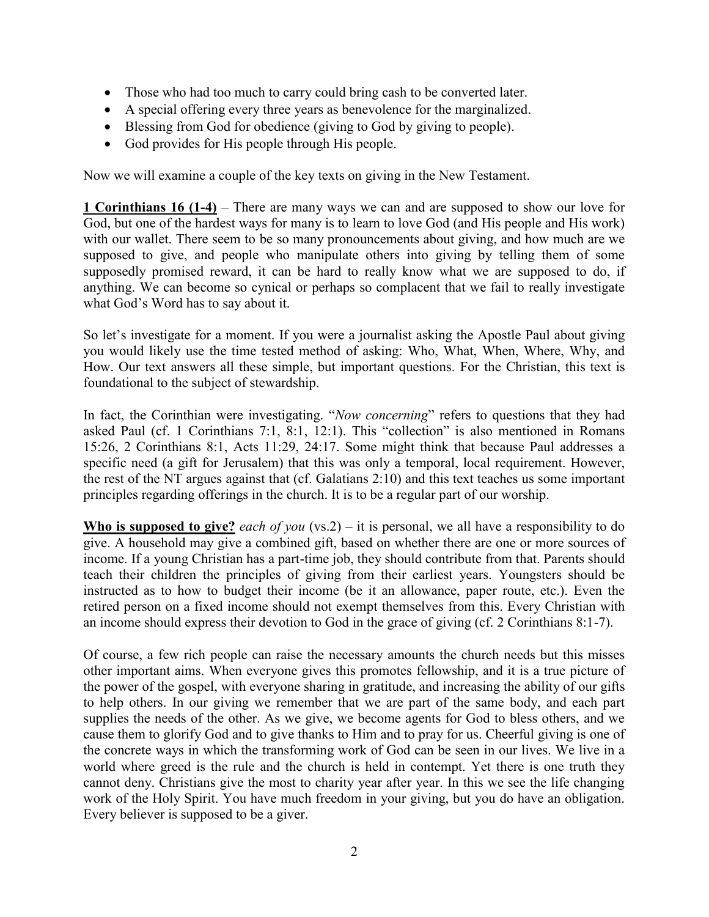- Those who had too much to carry could bring cash to be converted later.
- A special offering every three years as benevolence for the marginalized.
- Blessing from God for obedience (giving to God by giving to people).
- God provides for His people through His people.

Now we will examine a couple of the key texts on giving in the New Testament.

**1 Corinthians 16 (1-4)** – There are many ways we can and are supposed to show our love for God, but one of the hardest ways for many is to learn to love God (and His people and His work) with our wallet. There seem to be so many pronouncements about giving, and how much are we supposed to give, and people who manipulate others into giving by telling them of some supposedly promised reward, it can be hard to really know what we are supposed to do, if anything. We can become so cynical or perhaps so complacent that we fail to really investigate what God's Word has to say about it.

So let's investigate for a moment. If you were a journalist asking the Apostle Paul about giving you would likely use the time tested method of asking: Who, What, When, Where, Why, and How. Our text answers all these simple, but important questions. For the Christian, this text is foundational to the subject of stewardship.

In fact, the Corinthian were investigating. "*Now concerning*" refers to questions that they had asked Paul (cf. 1 Corinthians 7:1, 8:1, 12:1). This "collection" is also mentioned in Romans 15:26, 2 Corinthians 8:1, Acts 11:29, 24:17. Some might think that because Paul addresses a specific need (a gift for Jerusalem) that this was only a temporal, local requirement. However, the rest of the NT argues against that (cf. Galatians 2:10) and this text teaches us some important principles regarding offerings in the church. It is to be a regular part of our worship.

**Who is supposed to give?** *each of you* (vs.2) – it is personal, we all have a responsibility to do give. A household may give a combined gift, based on whether there are one or more sources of income. If a young Christian has a part-time job, they should contribute from that. Parents should teach their children the principles of giving from their earliest years. Youngsters should be instructed as to how to budget their income (be it an allowance, paper route, etc.). Even the retired person on a fixed income should not exempt themselves from this. Every Christian with an income should express their devotion to God in the grace of giving (cf. 2 Corinthians 8:1-7).

Of course, a few rich people can raise the necessary amounts the church needs but this misses other important aims. When everyone gives this promotes fellowship, and it is a true picture of the power of the gospel, with everyone sharing in gratitude, and increasing the ability of our gifts to help others. In our giving we remember that we are part of the same body, and each part supplies the needs of the other. As we give, we become agents for God to bless others, and we cause them to glorify God and to give thanks to Him and to pray for us. Cheerful giving is one of the concrete ways in which the transforming work of God can be seen in our lives. We live in a world where greed is the rule and the church is held in contempt. Yet there is one truth they cannot deny. Christians give the most to charity year after year. In this we see the life changing work of the Holy Spirit. You have much freedom in your giving, but you do have an obligation. Every believer is supposed to be a giver.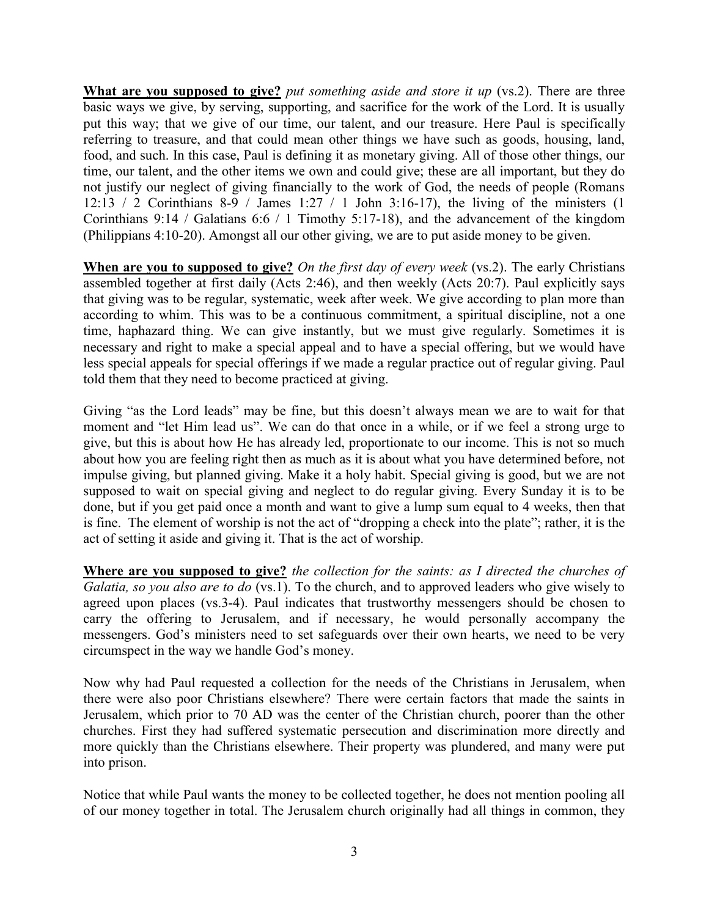**What are you supposed to give?** *put something aside and store it up* (vs.2). There are three basic ways we give, by serving, supporting, and sacrifice for the work of the Lord. It is usually put this way; that we give of our time, our talent, and our treasure. Here Paul is specifically referring to treasure, and that could mean other things we have such as goods, housing, land, food, and such. In this case, Paul is defining it as monetary giving. All of those other things, our time, our talent, and the other items we own and could give; these are all important, but they do not justify our neglect of giving financially to the work of God, the needs of people (Romans 12:13 / 2 Corinthians 8-9 / James 1:27 / 1 John 3:16-17), the living of the ministers (1 Corinthians 9:14 / Galatians 6:6 / 1 Timothy 5:17-18), and the advancement of the kingdom (Philippians 4:10-20). Amongst all our other giving, we are to put aside money to be given.

**When are you to supposed to give?** *On the first day of every week* (vs.2). The early Christians assembled together at first daily (Acts 2:46), and then weekly (Acts 20:7). Paul explicitly says that giving was to be regular, systematic, week after week. We give according to plan more than according to whim. This was to be a continuous commitment, a spiritual discipline, not a one time, haphazard thing. We can give instantly, but we must give regularly. Sometimes it is necessary and right to make a special appeal and to have a special offering, but we would have less special appeals for special offerings if we made a regular practice out of regular giving. Paul told them that they need to become practiced at giving.

Giving "as the Lord leads" may be fine, but this doesn't always mean we are to wait for that moment and "let Him lead us". We can do that once in a while, or if we feel a strong urge to give, but this is about how He has already led, proportionate to our income. This is not so much about how you are feeling right then as much as it is about what you have determined before, not impulse giving, but planned giving. Make it a holy habit. Special giving is good, but we are not supposed to wait on special giving and neglect to do regular giving. Every Sunday it is to be done, but if you get paid once a month and want to give a lump sum equal to 4 weeks, then that is fine. The element of worship is not the act of "dropping a check into the plate"; rather, it is the act of setting it aside and giving it. That is the act of worship.

**Where are you supposed to give?** *the collection for the saints: as I directed the churches of Galatia, so you also are to do* (vs.1). To the church, and to approved leaders who give wisely to agreed upon places (vs.3-4). Paul indicates that trustworthy messengers should be chosen to carry the offering to Jerusalem, and if necessary, he would personally accompany the messengers. God's ministers need to set safeguards over their own hearts, we need to be very circumspect in the way we handle God's money.

Now why had Paul requested a collection for the needs of the Christians in Jerusalem, when there were also poor Christians elsewhere? There were certain factors that made the saints in Jerusalem, which prior to 70 AD was the center of the Christian church, poorer than the other churches. First they had suffered systematic persecution and discrimination more directly and more quickly than the Christians elsewhere. Their property was plundered, and many were put into prison.

Notice that while Paul wants the money to be collected together, he does not mention pooling all of our money together in total. The Jerusalem church originally had all things in common, they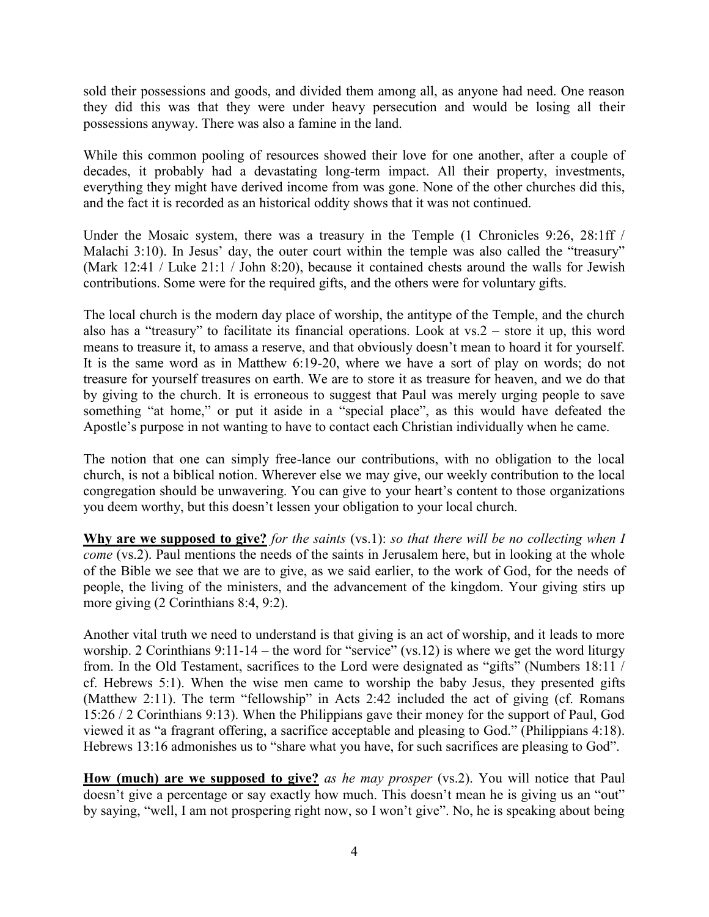sold their possessions and goods, and divided them among all, as anyone had need. One reason they did this was that they were under heavy persecution and would be losing all their possessions anyway. There was also a famine in the land.

While this common pooling of resources showed their love for one another, after a couple of decades, it probably had a devastating long-term impact. All their property, investments, everything they might have derived income from was gone. None of the other churches did this, and the fact it is recorded as an historical oddity shows that it was not continued.

Under the Mosaic system, there was a treasury in the Temple (1 Chronicles 9:26, 28:1ff / Malachi 3:10). In Jesus' day, the outer court within the temple was also called the "treasury" (Mark 12:41 / Luke 21:1 / John 8:20), because it contained chests around the walls for Jewish contributions. Some were for the required gifts, and the others were for voluntary gifts.

The local church is the modern day place of worship, the antitype of the Temple, and the church also has a "treasury" to facilitate its financial operations. Look at vs.2 – store it up, this word means to treasure it, to amass a reserve, and that obviously doesn't mean to hoard it for yourself. It is the same word as in Matthew 6:19-20, where we have a sort of play on words; do not treasure for yourself treasures on earth. We are to store it as treasure for heaven, and we do that by giving to the church. It is erroneous to suggest that Paul was merely urging people to save something "at home," or put it aside in a "special place", as this would have defeated the Apostle's purpose in not wanting to have to contact each Christian individually when he came.

The notion that one can simply free-lance our contributions, with no obligation to the local church, is not a biblical notion. Wherever else we may give, our weekly contribution to the local congregation should be unwavering. You can give to your heart's content to those organizations you deem worthy, but this doesn't lessen your obligation to your local church.

**Why are we supposed to give?** *for the saints* (vs.1): *so that there will be no collecting when I come* (vs.2). Paul mentions the needs of the saints in Jerusalem here, but in looking at the whole of the Bible we see that we are to give, as we said earlier, to the work of God, for the needs of people, the living of the ministers, and the advancement of the kingdom. Your giving stirs up more giving (2 Corinthians 8:4, 9:2).

Another vital truth we need to understand is that giving is an act of worship, and it leads to more worship. 2 Corinthians 9:11-14 – the word for "service" (vs.12) is where we get the word liturgy from. In the Old Testament, sacrifices to the Lord were designated as "gifts" (Numbers 18:11 / cf. Hebrews 5:1). When the wise men came to worship the baby Jesus, they presented gifts (Matthew 2:11). The term "fellowship" in Acts 2:42 included the act of giving (cf. Romans 15:26 / 2 Corinthians 9:13). When the Philippians gave their money for the support of Paul, God viewed it as "a fragrant offering, a sacrifice acceptable and pleasing to God." (Philippians 4:18). Hebrews 13:16 admonishes us to "share what you have, for such sacrifices are pleasing to God".

**How (much) are we supposed to give?** *as he may prosper* (vs.2). You will notice that Paul doesn't give a percentage or say exactly how much. This doesn't mean he is giving us an "out" by saying, "well, I am not prospering right now, so I won't give". No, he is speaking about being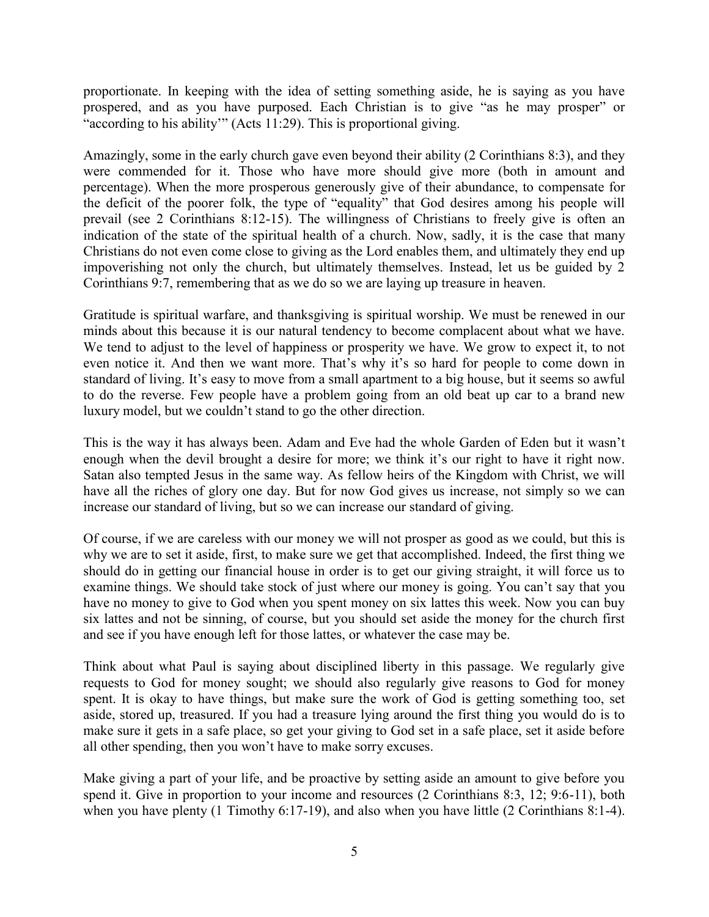proportionate. In keeping with the idea of setting something aside, he is saying as you have prospered, and as you have purposed. Each Christian is to give "as he may prosper" or "according to his ability" (Acts 11:29). This is proportional giving.

Amazingly, some in the early church gave even beyond their ability (2 Corinthians 8:3), and they were commended for it. Those who have more should give more (both in amount and percentage). When the more prosperous generously give of their abundance, to compensate for the deficit of the poorer folk, the type of "equality" that God desires among his people will prevail (see 2 Corinthians 8:12-15). The willingness of Christians to freely give is often an indication of the state of the spiritual health of a church. Now, sadly, it is the case that many Christians do not even come close to giving as the Lord enables them, and ultimately they end up impoverishing not only the church, but ultimately themselves. Instead, let us be guided by 2 Corinthians 9:7, remembering that as we do so we are laying up treasure in heaven.

Gratitude is spiritual warfare, and thanksgiving is spiritual worship. We must be renewed in our minds about this because it is our natural tendency to become complacent about what we have. We tend to adjust to the level of happiness or prosperity we have. We grow to expect it, to not even notice it. And then we want more. That's why it's so hard for people to come down in standard of living. It's easy to move from a small apartment to a big house, but it seems so awful to do the reverse. Few people have a problem going from an old beat up car to a brand new luxury model, but we couldn't stand to go the other direction.

This is the way it has always been. Adam and Eve had the whole Garden of Eden but it wasn't enough when the devil brought a desire for more; we think it's our right to have it right now. Satan also tempted Jesus in the same way. As fellow heirs of the Kingdom with Christ, we will have all the riches of glory one day. But for now God gives us increase, not simply so we can increase our standard of living, but so we can increase our standard of giving.

Of course, if we are careless with our money we will not prosper as good as we could, but this is why we are to set it aside, first, to make sure we get that accomplished. Indeed, the first thing we should do in getting our financial house in order is to get our giving straight, it will force us to examine things. We should take stock of just where our money is going. You can't say that you have no money to give to God when you spent money on six lattes this week. Now you can buy six lattes and not be sinning, of course, but you should set aside the money for the church first and see if you have enough left for those lattes, or whatever the case may be.

Think about what Paul is saying about disciplined liberty in this passage. We regularly give requests to God for money sought; we should also regularly give reasons to God for money spent. It is okay to have things, but make sure the work of God is getting something too, set aside, stored up, treasured. If you had a treasure lying around the first thing you would do is to make sure it gets in a safe place, so get your giving to God set in a safe place, set it aside before all other spending, then you won't have to make sorry excuses.

Make giving a part of your life, and be proactive by setting aside an amount to give before you spend it. Give in proportion to your income and resources (2 Corinthians 8:3, 12; 9:6-11), both when you have plenty (1 Timothy 6:17-19), and also when you have little (2 Corinthians 8:1-4).